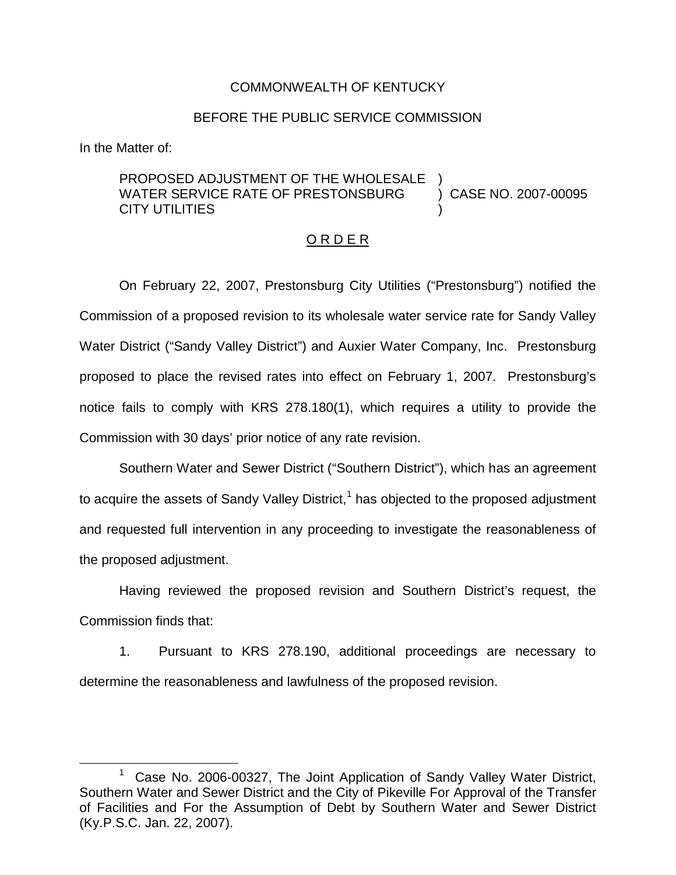## COMMONWEALTH OF KENTUCKY

## BEFORE THE PUBLIC SERVICE COMMISSION

In the Matter of:

## PROPOSED ADJUSTMENT OF THE WHOLESALE WATER SERVICE RATE OF PRESTONSBURG CITY UTILITIES ) ) CASE NO. 2007-00095 )

## O R D E R

On February 22, 2007, Prestonsburg City Utilities ("Prestonsburg") notified the Commission of a proposed revision to its wholesale water service rate for Sandy Valley Water District ("Sandy Valley District") and Auxier Water Company, Inc. Prestonsburg proposed to place the revised rates into effect on February 1, 2007. Prestonsburg's notice fails to comply with KRS 278.180(1), which requires a utility to provide the Commission with 30 days' prior notice of any rate revision.

Southern Water and Sewer District ("Southern District"), which has an agreement to acquire the assets of Sandy Valley District, $1$  has objected to the proposed adjustment and requested full intervention in any proceeding to investigate the reasonableness of the proposed adjustment.

Having reviewed the proposed revision and Southern District's request, the Commission finds that:

1. Pursuant to KRS 278.190, additional proceedings are necessary to determine the reasonableness and lawfulness of the proposed revision.

 $1$  Case No. 2006-00327, The Joint Application of Sandy Valley Water District, Southern Water and Sewer District and the City of Pikeville For Approval of the Transfer of Facilities and For the Assumption of Debt by Southern Water and Sewer District (Ky.P.S.C. Jan. 22, 2007).